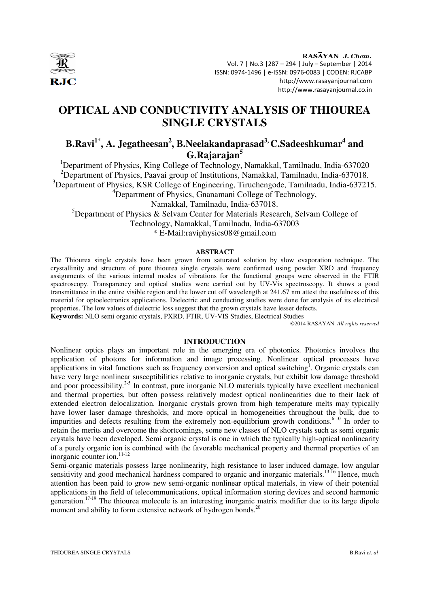

RASĀYAN J. Chem. Vol. 7 | No.3 |287 – 294 | July – September | 2014 ISSN: 0974-1496 | e-ISSN: 0976-0083 | CODEN: RJCABP http://www.rasayanjournal.com http://www.rasayanjournal.co.in

# **OPTICAL AND CONDUCTIVITY ANALYSIS OF THIOUREA SINGLE CRYSTALS**

## **B.Ravi1\*, A. Jegatheesan<sup>2</sup> , B.Neelakandaprasad3, C.Sadeeshkumar<sup>4</sup> and G.Rajarajan<sup>5</sup>**

<sup>1</sup>Department of Physics, King College of Technology, Namakkal, Tamilnadu, India-637020 <sup>2</sup>Department of Physics, Paavai group of Institutions, Namakkal, Tamilnadu, India-637018. <sup>3</sup>Department of Physics, KSR College of Engineering, Tiruchengode, Tamilnadu, India-637215. <sup>4</sup>Department of Physics, Gnanamani College of Technology, Namakkal, Tamilnadu, India-637018.

<sup>5</sup>Department of Physics & Selvam Center for Materials Research, Selvam College of Technology, Namakkal, Tamilnadu, India-637003 \* E-Mail:raviphysics08@gmail.com

## **ABSTRACT**

The Thiourea single crystals have been grown from saturated solution by slow evaporation technique. The crystallinity and structure of pure thiourea single crystals were confirmed using powder XRD and frequency assignments of the various internal modes of vibrations for the functional groups were observed in the FTIR spectroscopy. Transparency and optical studies were carried out by UV-Vis spectroscopy. It shows a good transmittance in the entire visible region and the lower cut off wavelength at 241.67 nm attest the usefulness of this material for optoelectronics applications. Dielectric and conducting studies were done for analysis of its electrical properties. The low values of dielectric loss suggest that the grown crystals have lesser defects.

**Keywords:** NLO semi organic crystals, PXRD, FTIR, UV-VIS Studies, Electrical Studies

©2014 RASĀYAN. *All rights reserved*

## **INTRODUCTION**

Nonlinear optics plays an important role in the emerging era of photonics. Photonics involves the application of photons for information and image processing. Nonlinear optical processes have applications in vital functions such as frequency conversion and optical switching<sup>1</sup>. Organic crystals can have very large nonlinear susceptibilities relative to inorganic crystals, but exhibit low damage threshold and poor processibility.<sup>2-5</sup> In contrast, pure inorganic NLO materials typically have excellent mechanical and thermal properties, but often possess relatively modest optical nonlinearities due to their lack of extended electron delocalization. Inorganic crystals grown from high temperature melts may typically have lower laser damage thresholds, and more optical in homogeneities throughout the bulk, due to impurities and defects resulting from the extremely non-equilibrium growth conditions.<sup>6-10</sup> In order to retain the merits and overcome the shortcomings, some new classes of NLO crystals such as semi organic crystals have been developed. Semi organic crystal is one in which the typically high-optical nonlinearity of a purely organic ion is combined with the favorable mechanical property and thermal properties of an inorganic counter ion.<sup>11-12</sup>

Semi-organic materials possess large nonlinearity, high resistance to laser induced damage, low angular sensitivity and good mechanical hardness compared to organic and inorganic materials.<sup>13-16</sup> Hence, much attention has been paid to grow new semi-organic nonlinear optical materials, in view of their potential applications in the field of telecommunications, optical information storing devices and second harmonic generation.<sup>17-19</sup> The thiourea molecule is an interesting inorganic matrix modifier due to its large dipole moment and ability to form extensive network of hydrogen bonds.<sup>20</sup>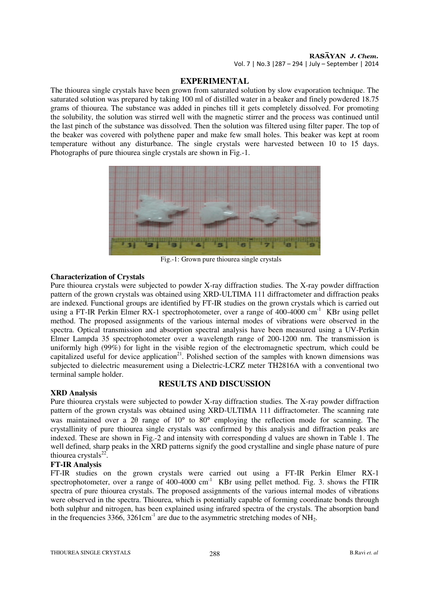# RASAYAN J. Chem.

Vol. 7 | No.3 |287 – 294 | July – September | 2014

## **EXPERIMENTAL**

The thiourea single crystals have been grown from saturated solution by slow evaporation technique. The saturated solution was prepared by taking 100 ml of distilled water in a beaker and finely powdered 18.75 grams of thiourea. The substance was added in pinches till it gets completely dissolved. For promoting the solubility, the solution was stirred well with the magnetic stirrer and the process was continued until the last pinch of the substance was dissolved. Then the solution was filtered using filter paper. The top of the beaker was covered with polythene paper and make few small holes. This beaker was kept at room temperature without any disturbance. The single crystals were harvested between 10 to 15 days. Photographs of pure thiourea single crystals are shown in Fig.-1.



Fig.-1: Grown pure thiourea single crystals

## **Characterization of Crystals**

Pure thiourea crystals were subjected to powder X-ray diffraction studies. The X-ray powder diffraction pattern of the grown crystals was obtained using XRD-ULTIMA 111 diffractometer and diffraction peaks are indexed. Functional groups are identified by FT-IR studies on the grown crystals which is carried out using a FT-IR Perkin Elmer RX-1 spectrophotometer, over a range of 400-4000 cm<sup>-1</sup> KBr using pellet method. The proposed assignments of the various internal modes of vibrations were observed in the spectra. Optical transmission and absorption spectral analysis have been measured using a UV-Perkin Elmer Lampda 35 spectrophotometer over a wavelength range of 200-1200 nm. The transmission is uniformly high  $(99\%)$  for light in the visible region of the electromagnetic spectrum, which could be capitalized useful for device application<sup>21</sup>. Polished section of the samples with known dimensions was subjected to dielectric measurement using a Dielectric-LCRZ meter TH2816A with a conventional two terminal sample holder.

## **RESULTS AND DISCUSSION**

## **XRD Analysis**

Pure thiourea crystals were subjected to powder X-ray diffraction studies. The X-ray powder diffraction pattern of the grown crystals was obtained using XRD-ULTIMA 111 diffractometer. The scanning rate was maintained over a 2θ range of 10° to 80° employing the reflection mode for scanning. The crystallinity of pure thiourea single crystals was confirmed by this analysis and diffraction peaks are indexed. These are shown in Fig.-2 and intensity with corresponding d values are shown in Table 1. The well defined, sharp peaks in the XRD patterns signify the good crystalline and single phase nature of pure thiourea crystals $22$ .

## **FT-IR Analysis**

FT-IR studies on the grown crystals were carried out using a FT-IR Perkin Elmer RX-1 spectrophotometer, over a range of  $400-4000$  cm<sup>-1</sup> KBr using pellet method. Fig. 3. shows the FTIR spectra of pure thiourea crystals. The proposed assignments of the various internal modes of vibrations were observed in the spectra. Thiourea, which is potentially capable of forming coordinate bonds through both sulphur and nitrogen, has been explained using infrared spectra of the crystals. The absorption band in the frequencies  $3366$ ,  $3261 \text{cm}^{-1}$  are due to the asymmetric stretching modes of NH<sub>2</sub>.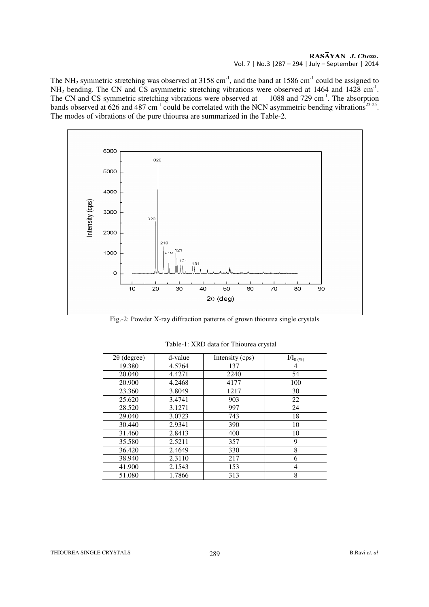### RASAYAN J. Chem. Vol. 7 | No.3 |287 – 294 | July – September | 2014

The NH<sub>2</sub> symmetric stretching was observed at 3158 cm<sup>-1</sup>, and the band at 1586 cm<sup>-1</sup> could be assigned to  $NH<sub>2</sub>$  bending. The CN and CS asymmetric stretching vibrations were observed at 1464 and 1428 cm<sup>-1</sup>. The CN and CS symmetric stretching vibrations were observed at 1088 and 729 cm<sup>-1</sup>. The absorption bands observed at 626 and 487 cm<sup>-1</sup> could be correlated with the NCN asymmetric bending vibrations<sup>23-25</sup>. The modes of vibrations of the pure thiourea are summarized in the Table-2.



Fig.-2: Powder X-ray diffraction patterns of grown thiourea single crystals

| $2\theta$ (degree) | d-value | Intensity (cps) | $I/I_{0(96)}$ |
|--------------------|---------|-----------------|---------------|
| 19.380             | 4.5764  | 137             | 4             |
| 20.040             | 4.4271  | 2240            | 54            |
| 20.900             | 4.2468  | 4177            | 100           |
| 23.360             | 3.8049  | 1217            | 30            |
| 25.620             | 3.4741  | 903             | 22            |
| 28.520             | 3.1271  | 997             | 24            |
| 29.040             | 3.0723  | 743             | 18            |
| 30.440             | 2.9341  | 390             | 10            |
| 31.460             | 2.8413  | 400             | 10            |
| 35.580             | 2.5211  | 357             | 9             |
| 36.420             | 2.4649  | 330             | 8             |
| 38.940             | 2.3110  | 217             | 6             |
| 41.900             | 2.1543  | 153             | 4             |
| 51.080             | 1.7866  | 313             | 8             |

Table-1: XRD data for Thiourea crystal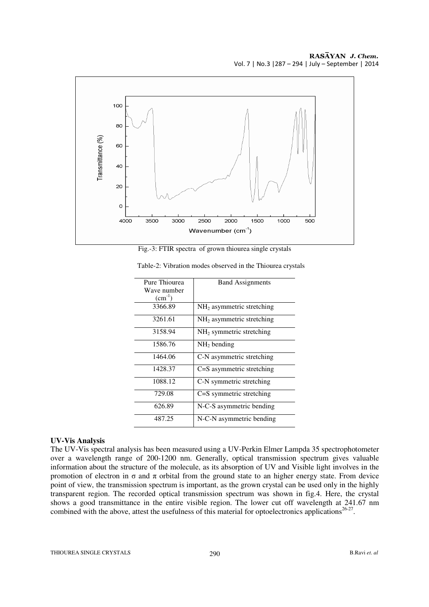![](_page_3_Figure_1.jpeg)

Fig.-3: FTIR spectra of grown thiourea single crystals

| Pure Thiourea<br>Wave number<br>$(cm^{-1})$ | <b>Band Assignments</b>               |
|---------------------------------------------|---------------------------------------|
| 3366.89                                     | NH <sub>2</sub> asymmetric stretching |
| 3261.61                                     | $NH2$ asymmetric stretching           |
| 3158.94                                     | $NH2$ symmetric stretching            |
| 1586.76                                     | $NH2$ bending                         |
| 1464.06                                     | C-N asymmetric stretching             |
| 1428.37                                     | C=S asymmetric stretching             |
| 1088.12                                     | C-N symmetric stretching              |
| 729.08                                      | C=S symmetric stretching              |
| 626.89                                      | N-C-S asymmetric bending              |
| 487.25                                      | N-C-N asymmetric bending              |

Table-2: Vibration modes observed in the Thiourea crystals

## **UV-Vis Analysis**

The UV-Vis spectral analysis has been measured using a UV-Perkin Elmer Lampda 35 spectrophotometer over a wavelength range of 200-1200 nm. Generally, optical transmission spectrum gives valuable information about the structure of the molecule, as its absorption of UV and Visible light involves in the promotion of electron in σ and π orbital from the ground state to an higher energy state. From device point of view, the transmission spectrum is important, as the grown crystal can be used only in the highly transparent region. The recorded optical transmission spectrum was shown in fig.4. Here, the crystal shows a good transmittance in the entire visible region. The lower cut off wavelength at 241.67 nm combined with the above, attest the usefulness of this material for optoelectronics applications<sup>26-27</sup>.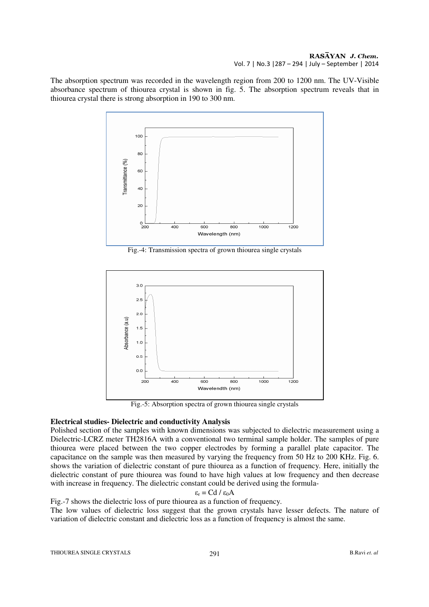#### RASAYAN J. Chem. Vol. 7 | No.3 |287 – 294 | July – September | 2014

The absorption spectrum was recorded in the wavelength region from 200 to 1200 nm. The UV-Visible absorbance spectrum of thiourea crystal is shown in fig. 5. The absorption spectrum reveals that in thiourea crystal there is strong absorption in 190 to 300 nm.

![](_page_4_Figure_2.jpeg)

Fig.-4: Transmission spectra of grown thiourea single crystals

![](_page_4_Figure_4.jpeg)

Fig.-5: Absorption spectra of grown thiourea single crystals

## **Electrical studies- Dielectric and conductivity Analysis**

Polished section of the samples with known dimensions was subjected to dielectric measurement using a Dielectric-LCRZ meter TH2816A with a conventional two terminal sample holder. The samples of pure thiourea were placed between the two copper electrodes by forming a parallel plate capacitor. The capacitance on the sample was then measured by varying the frequency from 50 Hz to 200 KHz. Fig. 6. shows the variation of dielectric constant of pure thiourea as a function of frequency. Here, initially the dielectric constant of pure thiourea was found to have high values at low frequency and then decrease with increase in frequency. The dielectric constant could be derived using the formula-

$$
\varepsilon_{\rm r} = \text{Cd} \, / \, \varepsilon_0 \text{A}
$$

Fig.-7 shows the dielectric loss of pure thiourea as a function of frequency.

The low values of dielectric loss suggest that the grown crystals have lesser defects. The nature of variation of dielectric constant and dielectric loss as a function of frequency is almost the same.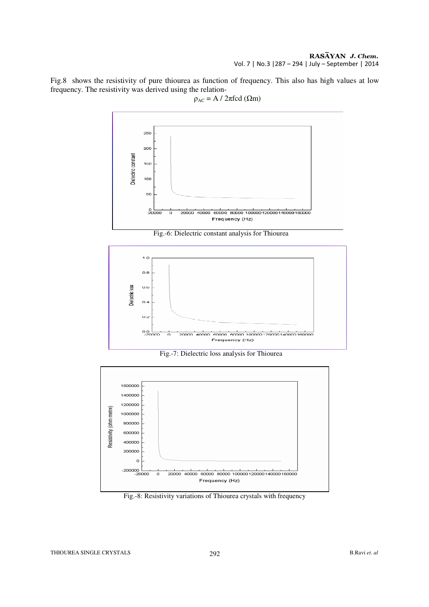RASAYAN J. Chem. Vol. 7 | No.3 |287 – 294 | July – September | 2014

Fig.8 shows the resistivity of pure thiourea as function of frequency. This also has high values at low frequency. The resistivity was derived using the relation-

![](_page_5_Figure_2.jpeg)

 $\rho_{AC} = A / 2 \pi f c d (\Omega m)$ 

![](_page_5_Figure_4.jpeg)

![](_page_5_Figure_5.jpeg)

Fig.-7: Dielectric loss analysis for Thiourea

![](_page_5_Figure_7.jpeg)

Fig.-8: Resistivity variations of Thiourea crystals with frequency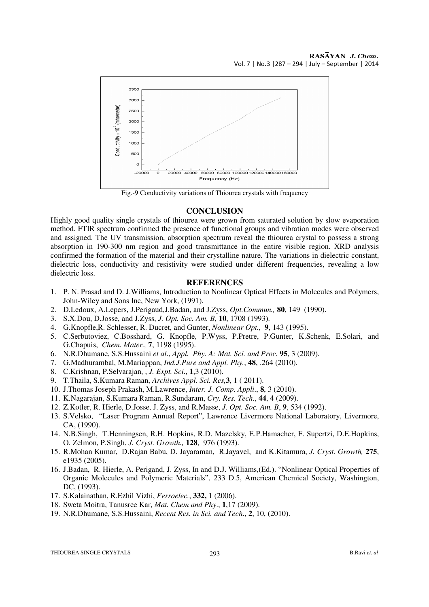![](_page_6_Figure_1.jpeg)

Fig.-9 Conductivity variations of Thiourea crystals with frequency

## **CONCLUSION**

Highly good quality single crystals of thiourea were grown from saturated solution by slow evaporation method. FTIR spectrum confirmed the presence of functional groups and vibration modes were observed and assigned. The UV transmission, absorption spectrum reveal the thiourea crystal to possess a strong absorption in 190-300 nm region and good transmittance in the entire visible region. XRD analysis confirmed the formation of the material and their crystalline nature. The variations in dielectric constant, dielectric loss, conductivity and resistivity were studied under different frequencies, revealing a low dielectric loss.

#### **REFERENCES**

- 1. P. N. Prasad and D. J.Williams, Introduction to Nonlinear Optical Effects in Molecules and Polymers, John-Wiley and Sons Inc, New York, (1991).
- 2. D.Ledoux, A.Lepers, J.Perigaud,J.Badan, and J.Zyss, *Opt.Commun.,* **80**, 149 (1990).
- 3. S.X.Dou, D.Josse, and J.Zyss, *J. Opt. Soc. Am. B*, **10**, 1708 (1993).
- 4. G.Knopfle,R. Schlesser, R. Ducret, and Gunter, *Nonlinear Opt.,* **9**, 143 (1995).
- 5. C.Serbutoviez, C.Bosshard, G. Knopfle, P.Wyss, P.Pretre, P.Gunter, K.Schenk, E.Solari, and G.Chapuis, *Chem. Mater.,* **7**, 1198 (1995).
- 6. N.R.Dhumane, S.S.Hussaini *et al*., *Appl. Phy. A: Mat. Sci. and Proc*, **95**, 3 (2009).
- 7. G.Madhurambal, M.Mariappan, *Ind.J.Pure and Appl. Phy.*, **48**, .264 (2010).
- 8. C.Krishnan, P.Selvarajan, , *J. Expt. Sci*., **1**,3 (2010).
- 9. T.Thaila, S.Kumara Raman, *Archives Appl. Sci. Res,***3**, 1 ( 2011).
- 10. J.Thomas Joseph Prakash, M.Lawrence, *Inter. J. Comp. Appli*., **8**, 3 (2010).
- 11. K.Nagarajan, S.Kumara Raman, R.Sundaram, *Cry. Res. Tech*., **44**, 4 (2009).
- 12. Z.Kotler, R. Hierle, D.Josse, J. Zyss, and R.Masse, *J. Opt. Soc. Am. B*, **9**, 534 (1992).
- 13. S.Velsko, "Laser Program Annual Report", Lawrence Livermore National Laboratory, Livermore, CA, (1990).
- 14. N.B.Singh, T.Henningsen, R.H. Hopkins, R.D. Mazelsky, E.P.Hamacher, F. Supertzi, D.E.Hopkins, O. Zelmon, P.Singh, *J. Cryst. Growth.,* **128**, 976 (1993).
- 15. R.Mohan Kumar, D.Rajan Babu, D. Jayaraman, R.Jayavel, and K.Kitamura, *J. Cryst. Growth,* **275**, e1935 (2005).
- 16. J.Badan, R. Hierle, A. Perigand, J. Zyss, In and D.J. Williams,(Ed.). "Nonlinear Optical Properties of Organic Molecules and Polymeric Materials", 233 D.5, American Chemical Society, Washington, DC, (1993).
- 17. S.Kalainathan, R.Ezhil Vizhi, *Ferroelec.*, **332,** 1 (2006).
- 18. Sweta Moitra, Tanusree Kar, *Mat. Chem and Phy*., **1**,17 (2009).
- 19. N.R.Dhumane, S.S.Hussaini, *Recent Res. in Sci. and Tech*., **2**, 10, (2010).